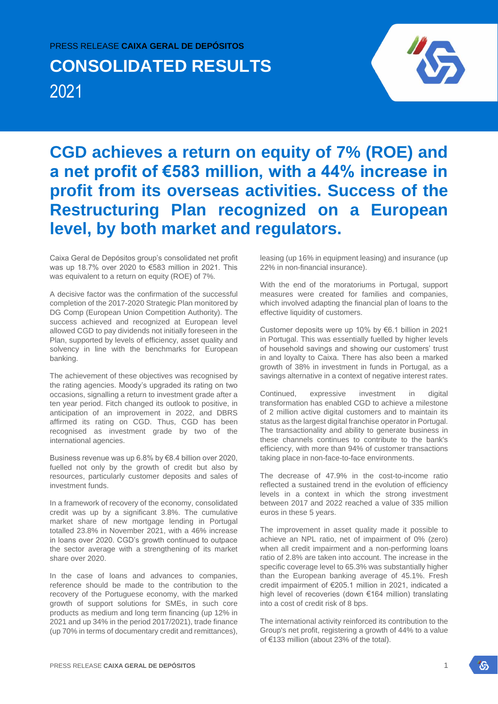## PRESS RELEASE **CAIXA GERAL DE DEPÓSITOS**

# **CONSOLIDATED RESULTS** 2021



## **CGD achieves a return on equity of 7% (ROE) and a net profit of €583 million, with a 44% increase in profit from its overseas activities. Success of the Restructuring Plan recognized on a European level, by both market and regulators.**

Caixa Geral de Depósitos group's consolidated net profit was up 18.7% over 2020 to €583 million in 2021. This was equivalent to a return on equity (ROE) of 7%.

A decisive factor was the confirmation of the successful completion of the 2017-2020 Strategic Plan monitored by DG Comp (European Union Competition Authority). The success achieved and recognized at European level allowed CGD to pay dividends not initially foreseen in the Plan, supported by levels of efficiency, asset quality and solvency in line with the benchmarks for European banking.

The achievement of these objectives was recognised by the rating agencies. Moody's upgraded its rating on two occasions, signalling a return to investment grade after a ten year period. Fitch changed its outlook to positive, in anticipation of an improvement in 2022, and DBRS affirmed its rating on CGD. Thus, CGD has been recognised as investment grade by two of the international agencies.

Business revenue was up 6.8% by €8.4 billion over 2020, fuelled not only by the growth of credit but also by resources, particularly customer deposits and sales of investment funds.

In a framework of recovery of the economy, consolidated credit was up by a significant 3.8%. The cumulative market share of new mortgage lending in Portugal totalled 23.8% in November 2021, with a 46% increase in loans over 2020. CGD's growth continued to outpace the sector average with a strengthening of its market share over 2020.

In the case of loans and advances to companies, reference should be made to the contribution to the recovery of the Portuguese economy, with the marked growth of support solutions for SMEs, in such core products as medium and long term financing (up 12% in 2021 and up 34% in the period 2017/2021), trade finance (up 70% in terms of documentary credit and remittances),

leasing (up 16% in equipment leasing) and insurance (up 22% in non-financial insurance).

With the end of the moratoriums in Portugal, support measures were created for families and companies, which involved adapting the financial plan of loans to the effective liquidity of customers.

Customer deposits were up 10% by €6.1 billion in 2021 in Portugal. This was essentially fuelled by higher levels of household savings and showing our customers' trust in and loyalty to Caixa. There has also been a marked growth of 38% in investment in funds in Portugal, as a savings alternative in a context of negative interest rates.

Continued, expressive investment in digital transformation has enabled CGD to achieve a milestone of 2 million active digital customers and to maintain its status as the largest digital franchise operator in Portugal. The transactionality and ability to generate business in these channels continues to contribute to the bank's efficiency, with more than 94% of customer transactions taking place in non-face-to-face environments.

The decrease of 47.9% in the cost-to-income ratio reflected a sustained trend in the evolution of efficiency levels in a context in which the strong investment between 2017 and 2022 reached a value of 335 million euros in these 5 years.

The improvement in asset quality made it possible to achieve an NPL ratio, net of impairment of 0% (zero) when all credit impairment and a non-performing loans ratio of 2.8% are taken into account. The increase in the specific coverage level to 65.3% was substantially higher than the European banking average of 45.1%. Fresh credit impairment of €205.1 million in 2021, indicated a high level of recoveries (down €164 million) translating into a cost of credit risk of 8 bps.

The international activity reinforced its contribution to the Group's net profit, registering a growth of 44% to a value of €133 million (about 23% of the total).

'n.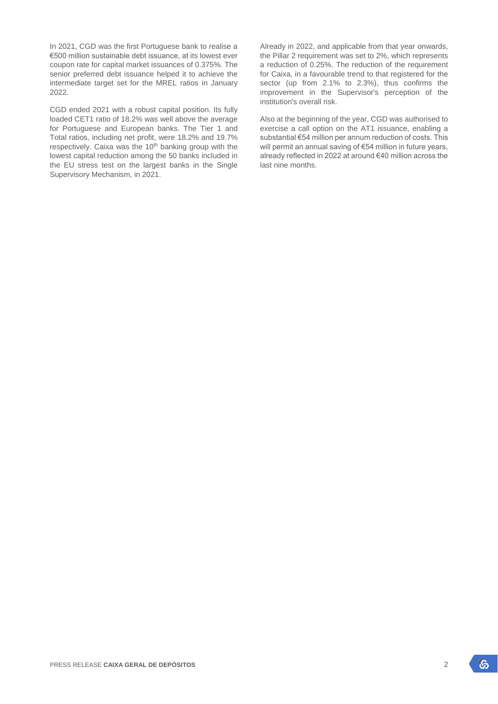In 2021, CGD was the first Portuguese bank to realise a €500 million sustainable debt issuance, at its lowest ever coupon rate for capital market issuances of 0.375%. The senior preferred debt issuance helped it to achieve the intermediate target set for the MREL ratios in January 2022.

CGD ended 2021 with a robust capital position. Its fully loaded CET1 ratio of 18.2% was well above the average for Portuguese and European banks. The Tier 1 and Total ratios, including net profit, were 18.2% and 19.7% respectively. Caixa was the 10<sup>th</sup> banking group with the lowest capital reduction among the 50 banks included in the EU stress test on the largest banks in the Single Supervisory Mechanism, in 2021.

Already in 2022, and applicable from that year onwards, the Pillar 2 requirement was set to 2%, which represents a reduction of 0.25%. The reduction of the requirement for Caixa, in a favourable trend to that registered for the sector (up from 2.1% to 2.3%), thus confirms the improvement in the Supervisor's perception of the institution's overall risk.

Also at the beginning of the year, CGD was authorised to exercise a call option on the AT1 issuance, enabling a substantial €54 million per annum reduction of costs. This will permit an annual saving of €54 million in future years, already reflected in 2022 at around €40 million across the last nine months.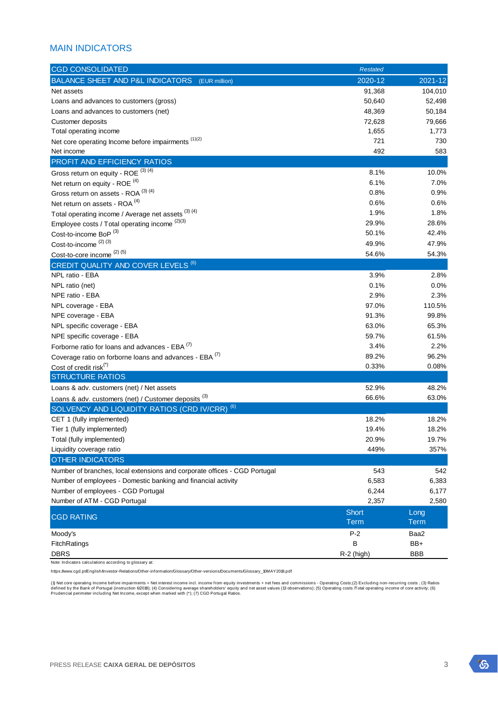## MAIN INDICATORS

| <b>CGD CONSOLIDATED</b>                                                   | <b>Restated</b> |             |
|---------------------------------------------------------------------------|-----------------|-------------|
| BALANCE SHEET AND P&L INDICATORS<br>(EUR million)                         | 2020-12         | 2021-12     |
| Net assets                                                                | 91,368          | 104,010     |
| Loans and advances to customers (gross)                                   | 50,640          | 52,498      |
| Loans and advances to customers (net)                                     | 48,369          | 50,184      |
| Customer deposits                                                         | 72,628          | 79,666      |
| Total operating income                                                    | 1,655           | 1,773       |
| Net core operating Income before impairments (1)(2)                       | 721             | 730         |
| Net income                                                                | 492             | 583         |
| PROFIT AND EFFICIENCY RATIOS                                              |                 |             |
| Gross return on equity - ROE (3) (4)                                      | 8.1%            | 10.0%       |
| Net return on equity - ROE <sup>(4)</sup>                                 | 6.1%            | 7.0%        |
| Gross return on assets - ROA (3) (4)                                      | 0.8%            | 0.9%        |
| Net return on assets - ROA <sup>(4)</sup>                                 | 0.6%            | 0.6%        |
| Total operating income / Average net assets (3) (4)                       | 1.9%            | 1.8%        |
| Employee costs / Total operating income (2)(3)                            | 29.9%           | 28.6%       |
| Cost-to-income BoP <sup>(3)</sup>                                         | 50.1%           | 42.4%       |
| Cost-to-income <sup>(2)(3)</sup>                                          | 49.9%           | 47.9%       |
| Cost-to-core income (2) (5)                                               | 54.6%           | 54.3%       |
| <b>CREDIT QUALITY AND COVER LEVELS (6)</b>                                |                 |             |
| NPL ratio - EBA                                                           | 3.9%            | 2.8%        |
| NPL ratio (net)                                                           | 0.1%            | 0.0%        |
| NPE ratio - EBA                                                           | 2.9%            | 2.3%        |
| NPL coverage - EBA                                                        | 97.0%           | 110.5%      |
| NPE coverage - EBA                                                        | 91.3%           | 99.8%       |
| NPL specific coverage - EBA                                               | 63.0%           | 65.3%       |
| NPE specific coverage - EBA                                               | 59.7%           | 61.5%       |
| Forborne ratio for loans and advances - EBA (7)                           | 3.4%            | 2.2%        |
| Coverage ratio on forborne loans and advances - EBA (7)                   | 89.2%           | 96.2%       |
| Cost of credit risk <sup>(*)</sup>                                        | 0.33%           | 0.08%       |
| <b>STRUCTURE RATIOS</b>                                                   |                 |             |
| Loans & adv. customers (net) / Net assets                                 | 52.9%           | 48.2%       |
| Loans & adv. customers (net) / Customer deposits (3)                      | 66.6%           | 63.0%       |
| (6)<br>SOLVENCY AND LIQUIDITY RATIOS (CRD IV/CRR)                         |                 |             |
| CET 1 (fully implemented)                                                 | 18.2%           | 18.2%       |
| Tier 1 (fully implemented)                                                | 19.4%           | 18.2%       |
| Total (fully implemented)                                                 | 20.9%           | 19.7%       |
| Liquidity coverage ratio                                                  | 449%            | 357%        |
| <b>OTHER INDICATORS</b>                                                   |                 |             |
| Number of branches, local extensions and corporate offices - CGD Portugal | 543             | 542         |
| Number of employees - Domestic banking and financial activity             | 6,583           | 6,383       |
| Number of employees - CGD Portugal                                        | 6,244           | 6,177       |
| Number of ATM - CGD Portugal                                              | 2,357           | 2,580       |
|                                                                           | <b>Short</b>    | Long        |
| <b>CGD RATING</b>                                                         | <b>Term</b>     | <b>Term</b> |
| Moody's                                                                   | $P-2$           | Baa2        |
| FitchRatings                                                              | B               | BB+         |
| <b>DBRS</b>                                                               | $R-2$ (high)    | <b>BBB</b>  |

Note: Indicators calculations according to glossary at:

https://www.cgd.pt/English/Investor-Relations/Other-information/Glossary/Other-versions/Documents/Glossary\_10MAY2018.pdf

(1) Net core operating Income before impairments = Net interest income incl. income from equity investments + net fees and commissions - Operating Costs;(2) Excluding non-recurring costs ; (3) Ratios<br>defined by the Bank of

 $\mathcal{E}$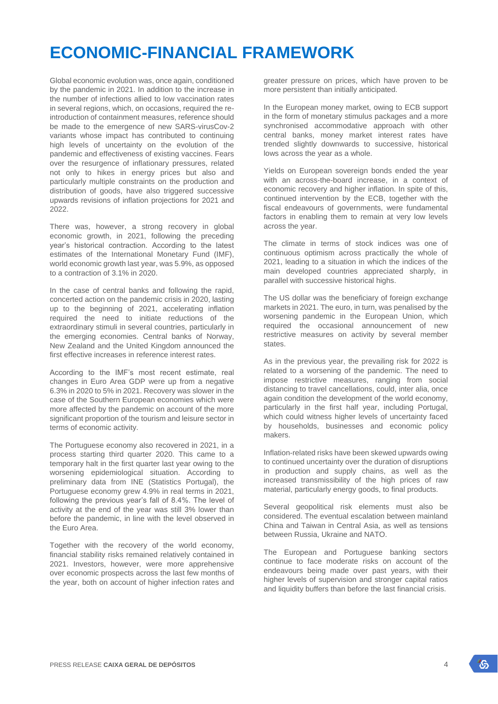## **ECONOMIC-FINANCIAL FRAMEWORK**

Global economic evolution was, once again, conditioned by the pandemic in 2021. In addition to the increase in the number of infections allied to low vaccination rates in several regions, which, on occasions, required the reintroduction of containment measures, reference should be made to the emergence of new SARS-virusCov-2 variants whose impact has contributed to continuing high levels of uncertainty on the evolution of the pandemic and effectiveness of existing vaccines. Fears over the resurgence of inflationary pressures, related not only to hikes in energy prices but also and particularly multiple constraints on the production and distribution of goods, have also triggered successive upwards revisions of inflation projections for 2021 and 2022.

There was, however, a strong recovery in global economic growth, in 2021, following the preceding year's historical contraction. According to the latest estimates of the International Monetary Fund (IMF), world economic growth last year, was 5.9%, as opposed to a contraction of 3.1% in 2020.

In the case of central banks and following the rapid, concerted action on the pandemic crisis in 2020, lasting up to the beginning of 2021, accelerating inflation required the need to initiate reductions of the extraordinary stimuli in several countries, particularly in the emerging economies. Central banks of Norway, New Zealand and the United Kingdom announced the first effective increases in reference interest rates.

According to the IMF's most recent estimate, real changes in Euro Area GDP were up from a negative 6.3% in 2020 to 5% in 2021. Recovery was slower in the case of the Southern European economies which were more affected by the pandemic on account of the more significant proportion of the tourism and leisure sector in terms of economic activity.

The Portuguese economy also recovered in 2021, in a process starting third quarter 2020. This came to a temporary halt in the first quarter last year owing to the worsening epidemiological situation. According to preliminary data from INE (Statistics Portugal), the Portuguese economy grew 4.9% in real terms in 2021, following the previous year's fall of 8.4%. The level of activity at the end of the year was still 3% lower than before the pandemic, in line with the level observed in the Euro Area.

Together with the recovery of the world economy, financial stability risks remained relatively contained in 2021. Investors, however, were more apprehensive over economic prospects across the last few months of the year, both on account of higher infection rates and greater pressure on prices, which have proven to be more persistent than initially anticipated.

In the European money market, owing to ECB support in the form of monetary stimulus packages and a more synchronised accommodative approach with other central banks, money market interest rates have trended slightly downwards to successive, historical lows across the year as a whole.

Yields on European sovereign bonds ended the year with an across-the-board increase, in a context of economic recovery and higher inflation. In spite of this, continued intervention by the ECB, together with the fiscal endeavours of governments, were fundamental factors in enabling them to remain at very low levels across the year.

The climate in terms of stock indices was one of continuous optimism across practically the whole of 2021, leading to a situation in which the indices of the main developed countries appreciated sharply, in parallel with successive historical highs.

The US dollar was the beneficiary of foreign exchange markets in 2021. The euro, in turn, was penalised by the worsening pandemic in the European Union, which required the occasional announcement of new restrictive measures on activity by several member states.

As in the previous year, the prevailing risk for 2022 is related to a worsening of the pandemic. The need to impose restrictive measures, ranging from social distancing to travel cancellations, could, inter alia, once again condition the development of the world economy, particularly in the first half year, including Portugal, which could witness higher levels of uncertainty faced by households, businesses and economic policy makers.

Inflation-related risks have been skewed upwards owing to continued uncertainty over the duration of disruptions in production and supply chains, as well as the increased transmissibility of the high prices of raw material, particularly energy goods, to final products.

Several geopolitical risk elements must also be considered. The eventual escalation between mainland China and Taiwan in Central Asia, as well as tensions between Russia, Ukraine and NATO.

The European and Portuguese banking sectors continue to face moderate risks on account of the endeavours being made over past years, with their higher levels of supervision and stronger capital ratios and liquidity buffers than before the last financial crisis.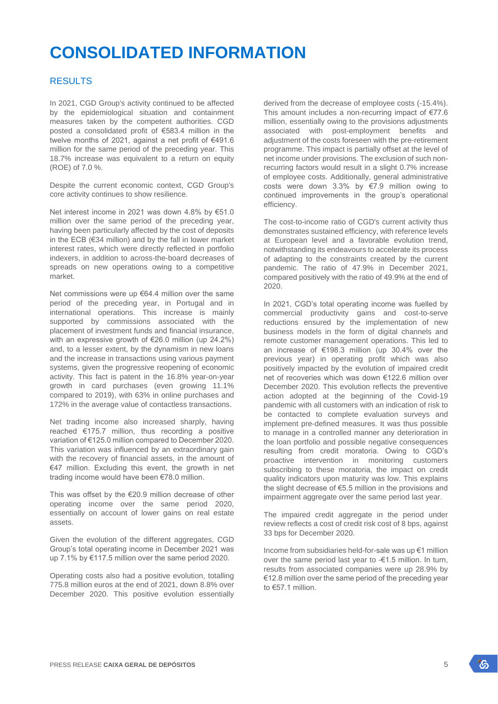## **CONSOLIDATED INFORMATION**

## RESULTS

In 2021, CGD Group's activity continued to be affected by the epidemiological situation and containment measures taken by the competent authorities. CGD posted a consolidated profit of €583.4 million in the twelve months of 2021, against a net profit of €491.6 million for the same period of the preceding year. This 18.7% increase was equivalent to a return on equity (ROE) of 7.0 %.

Despite the current economic context, CGD Group's core activity continues to show resilience.

Net interest income in 2021 was down 4.8% by €51.0 million over the same period of the preceding year, having been particularly affected by the cost of deposits in the ECB (€34 million) and by the fall in lower market interest rates, which were directly reflected in portfolio indexers, in addition to across-the-board decreases of spreads on new operations owing to a competitive market.

Net commissions were up €64.4 million over the same period of the preceding year, in Portugal and in international operations. This increase is mainly supported by commissions associated with the placement of investment funds and financial insurance, with an expressive growth of €26.0 million (up 24.2%) and, to a lesser extent, by the dynamism in new loans and the increase in transactions using various payment systems, given the progressive reopening of economic activity. This fact is patent in the 16.8% year-on-year growth in card purchases (even growing 11.1% compared to 2019), with 63% in online purchases and 172% in the average value of contactless transactions.

Net trading income also increased sharply, having reached €175.7 million, thus recording a positive variation of €125.0 million compared to December 2020. This variation was influenced by an extraordinary gain with the recovery of financial assets, in the amount of €47 million. Excluding this event, the growth in net trading income would have been €78.0 million.

This was offset by the €20.9 million decrease of other operating income over the same period 2020, essentially on account of lower gains on real estate assets.

Given the evolution of the different aggregates, CGD Group's total operating income in December 2021 was up 7.1% by €117.5 million over the same period 2020.

Operating costs also had a positive evolution, totalling 775.8 million euros at the end of 2021, down 8.8% over December 2020. This positive evolution essentially

derived from the decrease of employee costs (-15.4%). This amount includes a non-recurring impact of €77.6 million, essentially owing to the provisions adjustments associated with post-employment benefits and adjustment of the costs foreseen with the pre-retirement programme. This impact is partially offset at the level of net income under provisions. The exclusion of such nonrecurring factors would result in a slight 0.7% increase of employee costs. Additionally, general administrative costs were down 3.3% by €7.9 million owing to continued improvements in the group's operational efficiency.

The cost-to-income ratio of CGD's current activity thus demonstrates sustained efficiency, with reference levels at European level and a favorable evolution trend, notwithstanding its endeavours to accelerate its process of adapting to the constraints created by the current pandemic. The ratio of 47.9% in December 2021, compared positively with the ratio of 49.9% at the end of 2020.

In 2021, CGD's total operating income was fuelled by commercial productivity gains and cost-to-serve reductions ensured by the implementation of new business models in the form of digital channels and remote customer management operations. This led to an increase of €198.3 million (up 30.4% over the previous year) in operating profit which was also positively impacted by the evolution of impaired credit net of recoveries which was down €122.6 million over December 2020. This evolution reflects the preventive action adopted at the beginning of the Covid-19 pandemic with all customers with an indication of risk to be contacted to complete evaluation surveys and implement pre-defined measures. It was thus possible to manage in a controlled manner any deterioration in the loan portfolio and possible negative consequences resulting from credit moratoria. Owing to CGD's proactive intervention in monitoring customers subscribing to these moratoria, the impact on credit quality indicators upon maturity was low. This explains the slight decrease of €5.5 million in the provisions and impairment aggregate over the same period last year.

The impaired credit aggregate in the period under review reflects a cost of credit risk cost of 8 bps, against 33 bps for December 2020.

Income from subsidiaries held-for-sale was up €1 million over the same period last year to -€1.5 million. In turn, results from associated companies were up 28.9% by €12.8 million over the same period of the preceding year to €57.1 million.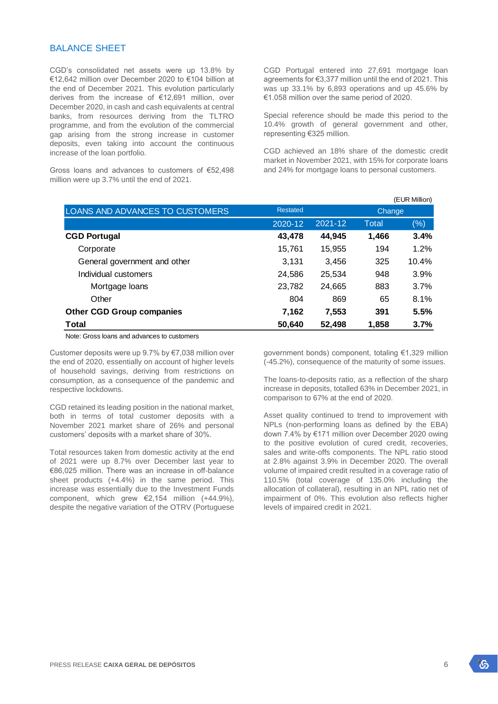### BALANCE SHEET

CGD's consolidated net assets were up 13.8% by €12,642 million over December 2020 to €104 billion at the end of December 2021. This evolution particularly derives from the increase of €12,691 million, over December 2020, in cash and cash equivalents at central banks, from resources deriving from the TLTRO programme, and from the evolution of the commercial gap arising from the strong increase in customer deposits, even taking into account the continuous increase of the loan portfolio.

Gross loans and advances to customers of €52,498 million were up 3.7% until the end of 2021.

CGD Portugal entered into 27,691 mortgage loan agreements for €3,377 million until the end of 2021. This was up 33.1% by 6,893 operations and up 45.6% by €1.058 million over the same period of 2020.

Special reference should be made this period to the 10.4% growth of general government and other, representing €325 million.

CGD achieved an 18% share of the domestic credit market in November 2021, with 15% for corporate loans and 24% for mortgage loans to personal customers.

|                                  |                 | (EUR Million) |       |        |  |
|----------------------------------|-----------------|---------------|-------|--------|--|
| LOANS AND ADVANCES TO CUSTOMERS  | <b>Restated</b> | Change        |       |        |  |
|                                  | 2020-12         | 2021-12       | Total | $(\%)$ |  |
| <b>CGD Portugal</b>              | 43,478          | 44,945        | 1,466 | 3.4%   |  |
| Corporate                        | 15,761          | 15,955        | 194   | 1.2%   |  |
| General government and other     | 3,131           | 3.456         | 325   | 10.4%  |  |
| Individual customers             | 24,586          | 25,534        | 948   | 3.9%   |  |
| Mortgage loans                   | 23,782          | 24,665        | 883   | 3.7%   |  |
| Other                            | 804             | 869           | 65    | 8.1%   |  |
| <b>Other CGD Group companies</b> | 7,162           | 7,553         | 391   | 5.5%   |  |
| <b>Total</b>                     | 50,640          | 52,498        | 1,858 | 3.7%   |  |

#### Note: Gross loans and advances to customers

Customer deposits were up 9.7% by €7,038 million over the end of 2020, essentially on account of higher levels of household savings, deriving from restrictions on consumption, as a consequence of the pandemic and respective lockdowns.

CGD retained its leading position in the national market, both in terms of total customer deposits with a November 2021 market share of 26% and personal customers' deposits with a market share of 30%.

Total resources taken from domestic activity at the end of 2021 were up 8.7% over December last year to €86,025 million. There was an increase in off-balance sheet products (+4.4%) in the same period. This increase was essentially due to the Investment Funds component, which grew €2,154 million (+44.9%), despite the negative variation of the OTRV (Portuguese

government bonds) component, totaling €1,329 million (-45.2%), consequence of the maturity of some issues.

The loans-to-deposits ratio, as a reflection of the sharp increase in deposits, totalled 63% in December 2021, in comparison to 67% at the end of 2020.

Asset quality continued to trend to improvement with NPLs (non-performing loans as defined by the EBA) down 7.4% by €171 million over December 2020 owing to the positive evolution of cured credit, recoveries, sales and write-offs components. The NPL ratio stood at 2.8% against 3.9% in December 2020. The overall volume of impaired credit resulted in a coverage ratio of 110.5% (total coverage of 135.0% including the allocation of collateral), resulting in an NPL ratio net of impairment of 0%. This evolution also reflects higher levels of impaired credit in 2021.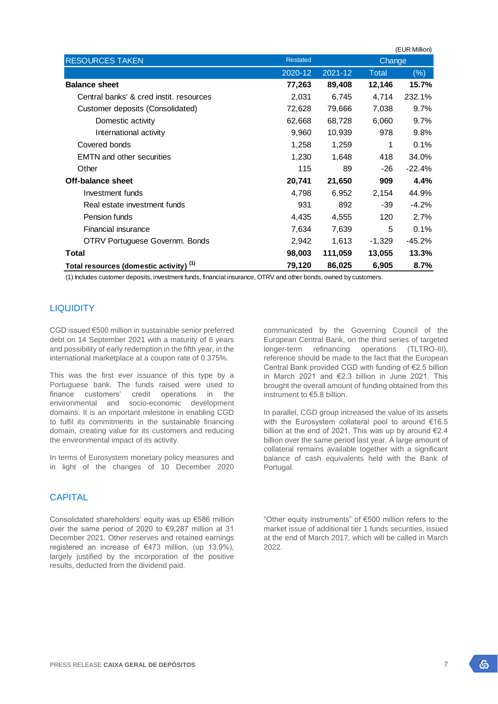|                                                    | (EUR Million)      |         |          |           |  |  |
|----------------------------------------------------|--------------------|---------|----------|-----------|--|--|
| <b>RESOURCES TAKEN</b>                             | <b>Restated</b>    |         | Change   |           |  |  |
|                                                    | 2021-12<br>2020-12 |         | Total    | $(\%)$    |  |  |
| <b>Balance sheet</b>                               | 77,263             | 89,408  | 12,146   | 15.7%     |  |  |
| Central banks' & cred instit. resources            | 2,031              | 6.745   | 4.714    | 232.1%    |  |  |
| Customer deposits (Consolidated)                   | 72,628             | 79,666  | 7,038    | $9.7\%$   |  |  |
| Domestic activity                                  | 62,668             | 68,728  | 6,060    | 9.7%      |  |  |
| International activity                             | 9,960              | 10,939  | 978      | $9.8\%$   |  |  |
| Covered bonds                                      | 1,258              | 1,259   | 1        | 0.1%      |  |  |
| <b>EMTN</b> and other securities                   | 1,230              | 1,648   | 418      | 34.0%     |  |  |
| Other                                              | 115                | 89      | -26      | $-22.4\%$ |  |  |
| Off-balance sheet                                  | 20,741             | 21,650  | 909      | 4.4%      |  |  |
| Investment funds                                   | 4,798              | 6,952   | 2,154    | 44.9%     |  |  |
| Real estate investment funds                       | 931                | 892     | -39      | $-4.2\%$  |  |  |
| Pension funds                                      | 4,435              | 4,555   | 120      | 2.7%      |  |  |
| Financial insurance                                | 7,634              | 7,639   | 5        | 0.1%      |  |  |
| OTRV Portuguese Governm. Bonds                     | 2,942              | 1,613   | $-1,329$ | -45.2%    |  |  |
| <b>Total</b>                                       | 98,003             | 111,059 | 13,055   | 13.3%     |  |  |
| Total resources (domestic activity) <sup>(1)</sup> | 79,120             | 86,025  | 6,905    | 8.7%      |  |  |

(1) Includes customer deposits, investment funds, financial insurance, OTRV and other bonds, owned by customers.

## LIQUIDITY

CGD issued €500 million in sustainable senior preferred debt on 14 September 2021 with a maturity of 6 years and possibility of early redemption in the fifth year, in the international marketplace at a coupon rate of 0.375%.

This was the first ever issuance of this type by a Portuguese bank. The funds raised were used to finance customers' credit operations in the environmental and socio-economic development domains. It is an important milestone in enabling CGD to fulfil its commitments in the sustainable financing domain, creating value for its customers and reducing the environmental impact of its activity.

In terms of Eurosystem monetary policy measures and in light of the changes of 10 December 2020

### **CAPITAL**

Consolidated shareholders' equity was up €586 million over the same period of 2020 to €9,287 million at 31 December 2021. Other reserves and retained earnings registered an increase of  $€473$  million, (up 13.9%), largely justified by the incorporation of the positive results, deducted from the dividend paid.

communicated by the Governing Council of the European Central Bank, on the third series of targeted longer-term refinancing operations (TLTRO-III), reference should be made to the fact that the European Central Bank provided CGD with funding of €2.5 billion in March 2021 and €2.3 billion in June 2021. This brought the overall amount of funding obtained from this instrument to €5.8 billion.

In parallel, CGD group increased the value of its assets with the Eurosystem collateral pool to around €16.5 billion at the end of 2021. This was up by around €2.4 billion over the same period last year. A large amount of collateral remains available together with a significant balance of cash equivalents held with the Bank of Portugal.

"Other equity instruments" of €500 million refers to the market issue of additional tier 1 funds securities, issued at the end of March 2017, which will be called in March 2022.

饧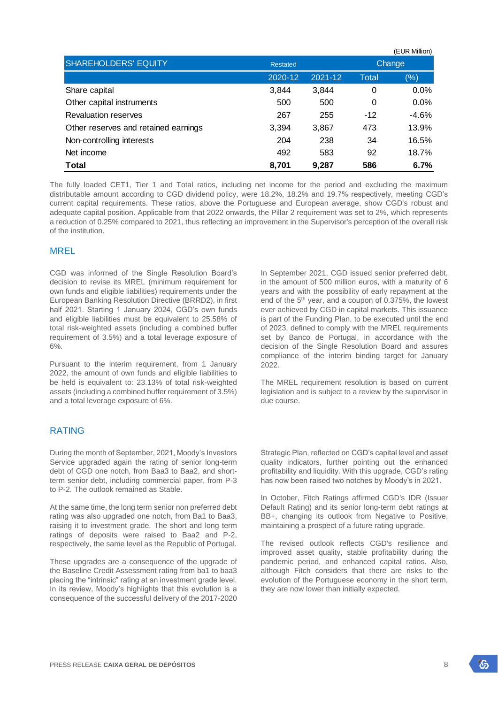|                                      |                 |         |        | (EUR Million) |  |
|--------------------------------------|-----------------|---------|--------|---------------|--|
| <b>SHAREHOLDERS' EQUITY</b>          | <b>Restated</b> |         | Change |               |  |
|                                      | 2020-12         | 2021-12 | Total  | $(\% )$       |  |
| Share capital                        | 3,844           | 3,844   | 0      | $0.0\%$       |  |
| Other capital instruments            | 500             | 500     | 0      | 0.0%          |  |
| <b>Revaluation reserves</b>          | 267             | 255     | $-12$  | $-4.6%$       |  |
| Other reserves and retained earnings | 3,394           | 3,867   | 473    | 13.9%         |  |
| Non-controlling interests            | 204             | 238     | 34     | 16.5%         |  |
| Net income                           | 492             | 583     | 92     | 18.7%         |  |
| <b>Total</b>                         | 8,701           | 9,287   | 586    | 6.7%          |  |

The fully loaded CET1, Tier 1 and Total ratios, including net income for the period and excluding the maximum distributable amount according to CGD dividend policy, were 18.2%, 18.2% and 19.7% respectively, meeting CGD's current capital requirements. These ratios, above the Portuguese and European average, show CGD's robust and adequate capital position. Applicable from that 2022 onwards, the Pillar 2 requirement was set to 2%, which represents a reduction of 0.25% compared to 2021, thus reflecting an improvement in the Supervisor's perception of the overall risk of the institution.

### MREL

CGD was informed of the Single Resolution Board's decision to revise its MREL (minimum requirement for own funds and eligible liabilities) requirements under the European Banking Resolution Directive (BRRD2), in first half 2021. Starting 1 January 2024, CGD's own funds and eligible liabilities must be equivalent to 25.58% of total risk-weighted assets (including a combined buffer requirement of 3.5%) and a total leverage exposure of 6%.

Pursuant to the interim requirement, from 1 January 2022, the amount of own funds and eligible liabilities to be held is equivalent to: 23.13% of total risk-weighted assets (including a combined buffer requirement of 3.5%) and a total leverage exposure of 6%.

## RATING

During the month of September, 2021, Moody's Investors Service upgraded again the rating of senior long-term debt of CGD one notch, from Baa3 to Baa2, and shortterm senior debt, including commercial paper, from P-3 to P-2. The outlook remained as Stable.

At the same time, the long term senior non preferred debt rating was also upgraded one notch, from Ba1 to Baa3, raising it to investment grade. The short and long term ratings of deposits were raised to Baa2 and P-2, respectively, the same level as the Republic of Portugal.

These upgrades are a consequence of the upgrade of the Baseline Credit Assessment rating from ba1 to baa3 placing the "intrinsic" rating at an investment grade level. In its review, Moody's highlights that this evolution is a consequence of the successful delivery of the 2017-2020 In September 2021, CGD issued senior preferred debt, in the amount of 500 million euros, with a maturity of 6 years and with the possibility of early repayment at the end of the 5th year, and a coupon of 0.375%, the lowest ever achieved by CGD in capital markets. This issuance is part of the Funding Plan, to be executed until the end of 2023, defined to comply with the MREL requirements set by Banco de Portugal, in accordance with the decision of the Single Resolution Board and assures compliance of the interim binding target for January 2022.

The MREL requirement resolution is based on current legislation and is subject to a review by the supervisor in due course.

Strategic Plan, reflected on CGD's capital level and asset quality indicators, further pointing out the enhanced profitability and liquidity. With this upgrade, CGD's rating has now been raised two notches by Moody's in 2021.

In October, Fitch Ratings affirmed CGD's IDR (Issuer Default Rating) and its senior long-term debt ratings at BB+, changing its outlook from Negative to Positive, maintaining a prospect of a future rating upgrade.

The revised outlook reflects CGD's resilience and improved asset quality, stable profitability during the pandemic period, and enhanced capital ratios. Also, although Fitch considers that there are risks to the evolution of the Portuguese economy in the short term, they are now lower than initially expected.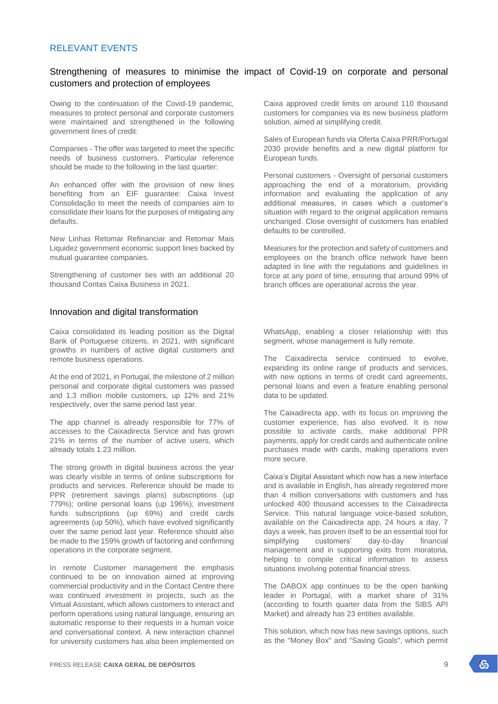### RELEVANT EVENTS

## Strengthening of measures to minimise the impact of Covid-19 on corporate and personal customers and protection of employees

Owing to the continuation of the Covid-19 pandemic, measures to protect personal and corporate customers were maintained and strengthened in the following government lines of credit:

Companies - The offer was targeted to meet the specific needs of business customers. Particular reference should be made to the following in the last quarter:

An enhanced offer with the provision of new lines benefiting from an EIF guarantee: Caixa Invest Consolidação to meet the needs of companies aim to consolidate their loans for the purposes of mitigating any defaults.

New Linhas Retomar Refinanciar and Retomar Mais Liquidez government economic support lines backed by mutual guarantee companies.

Strengthening of customer ties with an additional 20 thousand Contas Caixa Business in 2021.

#### Innovation and digital transformation

Caixa consolidated its leading position as the Digital Bank of Portuguese citizens, in 2021, with significant growths in numbers of active digital customers and remote business operations.

At the end of 2021, in Portugal, the milestone of 2 million personal and corporate digital customers was passed and 1.3 million mobile customers, up 12% and 21% respectively, over the same period last year.

The app channel is already responsible for 77% of accesses to the Caixadirecta Service and has grown 21% in terms of the number of active users, which already totals 1.23 million.

The strong growth in digital business across the year was clearly visible in terms of online subscriptions for products and services. Reference should be made to PPR (retirement savings plans) subscriptions (up 779%); online personal loans (up 196%); investment funds subscriptions (up 69%) and credit cards agreements (up 50%), which have evolved significantly over the same period last year. Reference should also be made to the 159% growth of factoring and confirming operations in the corporate segment.

In remote Customer management the emphasis continued to be on innovation aimed at improving commercial productivity and in the Contact Centre there was continued investment in projects, such as the Virtual Assistant, which allows customers to interact and perform operations using natural language, ensuring an automatic response to their requests in a human voice and conversational context. A new interaction channel for university customers has also been implemented on

Caixa approved credit limits on around 110 thousand customers for companies via its new business platform solution, aimed at simplifying credit.

Sales of European funds via Oferta Caixa PRR/Portugal 2030 provide benefits and a new digital platform for European funds.

Personal customers - Oversight of personal customers approaching the end of a moratorium, providing information and evaluating the application of any additional measures, in cases which a customer's situation with regard to the original application remains unchanged. Close oversight of customers has enabled defaults to be controlled.

Measures for the protection and safety of customers and employees on the branch office network have been adapted in line with the regulations and guidelines in force at any point of time, ensuring that around 99% of branch offices are operational across the year.

WhatsApp, enabling a closer relationship with this segment, whose management is fully remote.

The Caixadirecta service continued to evolve, expanding its online range of products and services, with new options in terms of credit card agreements, personal loans and even a feature enabling personal data to be updated.

The Caixadirecta app, with its focus on improving the customer experience, has also evolved. It is now possible to activate cards, make additional PPR payments, apply for credit cards and authenticate online purchases made with cards, making operations even more secure.

Caixa's Digital Assistant which now has a new interface and is available in English, has already registered more than 4 million conversations with customers and has unlocked 400 thousand accesses to the Caixadirecta Service. This natural language voice-based solution, available on the Caixadirecta app, 24 hours a day, 7 days a week, has proven itself to be an essential tool for simplifying customers' day-to-day financial management and in supporting exits from moratoria, helping to compile critical information to assess situations involving potential financial stress.

The DABOX app continues to be the open banking leader in Portugal, with a market share of 31% (according to fourth quarter data from the SIBS API Market) and already has 23 entities available.

This solution, which now has new savings options, such as the "Money Box" and "Saving Goals", which permit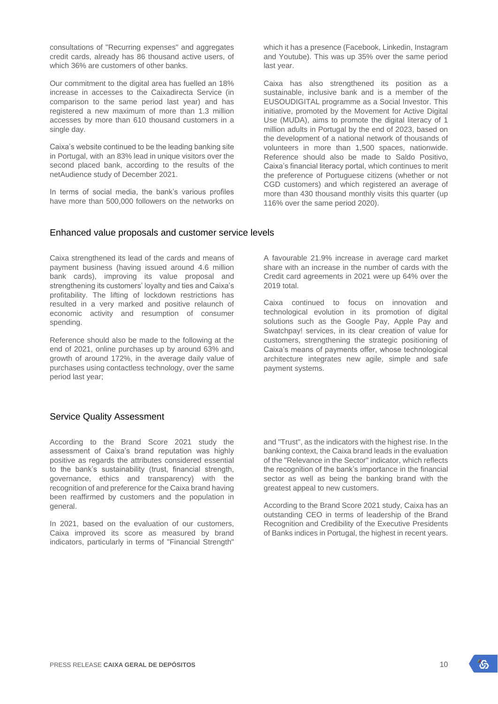consultations of "Recurring expenses" and aggregates credit cards, already has 86 thousand active users, of which 36% are customers of other banks.

Our commitment to the digital area has fuelled an 18% increase in accesses to the Caixadirecta Service (in comparison to the same period last year) and has registered a new maximum of more than 1.3 million accesses by more than 610 thousand customers in a single day.

Caixa's website continued to be the leading banking site in Portugal, with an 83% lead in unique visitors over the second placed bank, according to the results of the netAudience study of December 2021.

In terms of social media, the bank's various profiles have more than 500,000 followers on the networks on

which it has a presence (Facebook, Linkedin, Instagram and Youtube). This was up 35% over the same period last year.

Caixa has also strengthened its position as a sustainable, inclusive bank and is a member of the EUSOUDIGITAL programme as a Social Investor. This initiative, promoted by the Movement for Active Digital Use (MUDA), aims to promote the digital literacy of 1 million adults in Portugal by the end of 2023, based on the development of a national network of thousands of volunteers in more than 1,500 spaces, nationwide. Reference should also be made to Saldo Positivo, Caixa's financial literacy portal, which continues to merit the preference of Portuguese citizens (whether or not CGD customers) and which registered an average of more than 430 thousand monthly visits this quarter (up 116% over the same period 2020).

### Enhanced value proposals and customer service levels

Caixa strengthened its lead of the cards and means of payment business (having issued around 4.6 million bank cards), improving its value proposal and strengthening its customers' loyalty and ties and Caixa's profitability. The lifting of lockdown restrictions has resulted in a very marked and positive relaunch of economic activity and resumption of consumer spending.

Reference should also be made to the following at the end of 2021, online purchases up by around 63% and growth of around 172%, in the average daily value of purchases using contactless technology, over the same period last year;

A favourable 21.9% increase in average card market share with an increase in the number of cards with the Credit card agreements in 2021 were up 64% over the 2019 total.

Caixa continued to focus on innovation and technological evolution in its promotion of digital solutions such as the Google Pay, Apple Pay and Swatchpay! services, in its clear creation of value for customers, strengthening the strategic positioning of Caixa's means of payments offer, whose technological architecture integrates new agile, simple and safe payment systems.

## Service Quality Assessment

According to the Brand Score 2021 study the assessment of Caixa's brand reputation was highly positive as regards the attributes considered essential to the bank's sustainability (trust, financial strength, governance, ethics and transparency) with the recognition of and preference for the Caixa brand having been reaffirmed by customers and the population in general.

In 2021, based on the evaluation of our customers, Caixa improved its score as measured by brand indicators, particularly in terms of "Financial Strength"

and "Trust", as the indicators with the highest rise. In the banking context, the Caixa brand leads in the evaluation of the "Relevance in the Sector" indicator, which reflects the recognition of the bank's importance in the financial sector as well as being the banking brand with the greatest appeal to new customers.

According to the Brand Score 2021 study, Caixa has an outstanding CEO in terms of leadership of the Brand Recognition and Credibility of the Executive Presidents of Banks indices in Portugal, the highest in recent years.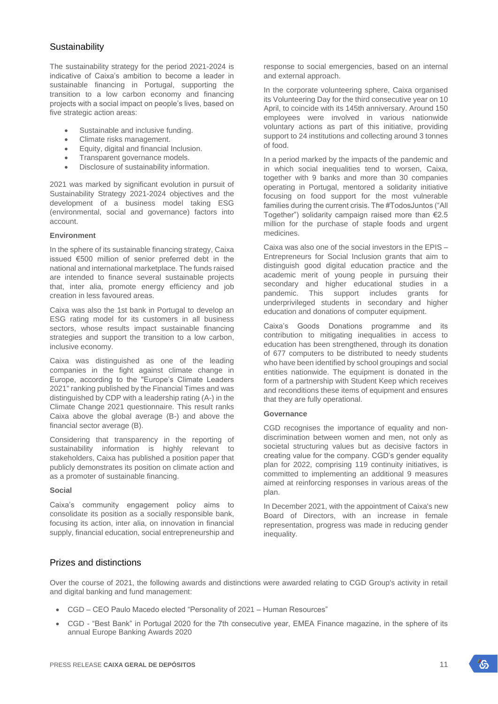## **Sustainability**

The sustainability strategy for the period 2021-2024 is indicative of Caixa's ambition to become a leader in sustainable financing in Portugal, supporting the transition to a low carbon economy and financing projects with a social impact on people's lives, based on five strategic action areas:

- Sustainable and inclusive funding.
- Climate risks management.
- Equity, digital and financial Inclusion.
- Transparent governance models.
- Disclosure of sustainability information.

2021 was marked by significant evolution in pursuit of Sustainability Strategy 2021-2024 objectives and the development of a business model taking ESG (environmental, social and governance) factors into account.

#### **Environment**

In the sphere of its sustainable financing strategy, Caixa issued €500 million of senior preferred debt in the national and international marketplace. The funds raised are intended to finance several sustainable projects that, inter alia, promote energy efficiency and job creation in less favoured areas.

Caixa was also the 1st bank in Portugal to develop an ESG rating model for its customers in all business sectors, whose results impact sustainable financing strategies and support the transition to a low carbon, inclusive economy.

Caixa was distinguished as one of the leading companies in the fight against climate change in Europe, according to the "Europe's Climate Leaders 2021" ranking published by the Financial Times and was distinguished by CDP with a leadership rating (A-) in the Climate Change 2021 questionnaire. This result ranks Caixa above the global average (B-) and above the financial sector average (B).

Considering that transparency in the reporting of sustainability information is highly relevant to stakeholders, Caixa has published a position paper that publicly demonstrates its position on climate action and as a promoter of sustainable financing.

#### **Social**

Caixa's community engagement policy aims to consolidate its position as a socially responsible bank, focusing its action, inter alia, on innovation in financial supply, financial education, social entrepreneurship and

response to social emergencies, based on an internal and external approach.

In the corporate volunteering sphere, Caixa organised its Volunteering Day for the third consecutive year on 10 April, to coincide with its 145th anniversary. Around 150 employees were involved in various nationwide voluntary actions as part of this initiative, providing support to 24 institutions and collecting around 3 tonnes of food.

In a period marked by the impacts of the pandemic and in which social inequalities tend to worsen, Caixa, together with 9 banks and more than 30 companies operating in Portugal, mentored a solidarity initiative focusing on food support for the most vulnerable families during the current crisis. The #TodosJuntos ("All Together") solidarity campaign raised more than €2.5 million for the purchase of staple foods and urgent medicines.

Caixa was also one of the social investors in the EPIS – Entrepreneurs for Social Inclusion grants that aim to distinguish good digital education practice and the academic merit of young people in pursuing their secondary and higher educational studies in a pandemic. This support includes grants for underprivileged students in secondary and higher education and donations of computer equipment.

Caixa's Goods Donations programme and its contribution to mitigating inequalities in access to education has been strengthened, through its donation of 677 computers to be distributed to needy students who have been identified by school groupings and social entities nationwide. The equipment is donated in the form of a partnership with Student Keep which receives and reconditions these items of equipment and ensures that they are fully operational.

#### **Governance**

CGD recognises the importance of equality and nondiscrimination between women and men, not only as societal structuring values but as decisive factors in creating value for the company. CGD's gender equality plan for 2022, comprising 119 continuity initiatives, is committed to implementing an additional 9 measures aimed at reinforcing responses in various areas of the plan.

In December 2021, with the appointment of Caixa's new Board of Directors, with an increase in female representation, progress was made in reducing gender inequality.

## Prizes and distinctions

Over the course of 2021, the following awards and distinctions were awarded relating to CGD Group's activity in retail and digital banking and fund management:

- CGD CEO Paulo Macedo elected "Personality of 2021 Human Resources"
- CGD "Best Bank" in Portugal 2020 for the 7th consecutive year, EMEA Finance magazine, in the sphere of its annual Europe Banking Awards 2020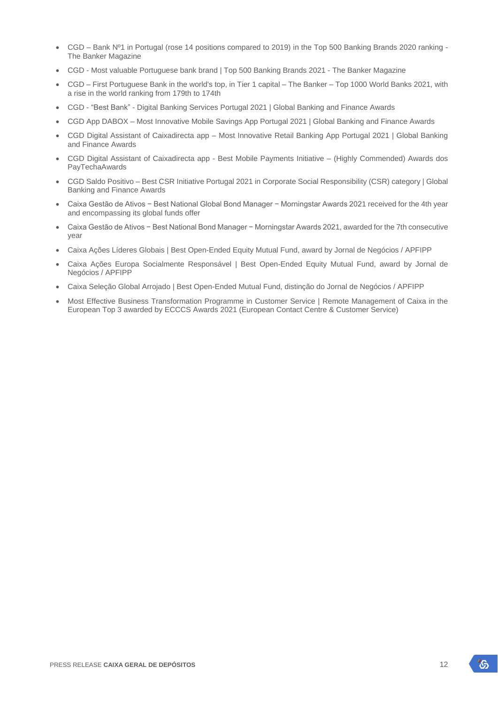- CGD Bank Nº1 in Portugal (rose 14 positions compared to 2019) in the Top 500 Banking Brands 2020 ranking The Banker Magazine
- CGD Most valuable Portuguese bank brand | Top 500 Banking Brands 2021 The Banker Magazine
- CGD First Portuguese Bank in the world's top, in Tier 1 capital The Banker Top 1000 World Banks 2021, with a rise in the world ranking from 179th to 174th
- CGD "Best Bank" Digital Banking Services Portugal 2021 | Global Banking and Finance Awards
- CGD App DABOX Most Innovative Mobile Savings App Portugal 2021 | Global Banking and Finance Awards
- CGD Digital Assistant of Caixadirecta app Most Innovative Retail Banking App Portugal 2021 | Global Banking and Finance Awards
- CGD Digital Assistant of Caixadirecta app Best Mobile Payments Initiative (Highly Commended) Awards dos PayTechaAwards
- CGD Saldo Positivo Best CSR Initiative Portugal 2021 in Corporate Social Responsibility (CSR) category | Global Banking and Finance Awards
- Caixa Gestão de Ativos − Best National Global Bond Manager − Morningstar Awards 2021 received for the 4th year and encompassing its global funds offer
- Caixa Gestão de Ativos − Best National Bond Manager − Morningstar Awards 2021, awarded for the 7th consecutive year
- Caixa Ações Líderes Globais | Best Open-Ended Equity Mutual Fund, award by Jornal de Negócios / APFIPP
- Caixa Ações Europa Socialmente Responsável | Best Open-Ended Equity Mutual Fund, award by Jornal de Negócios / APFIPP
- Caixa Seleção Global Arrojado | Best Open-Ended Mutual Fund, distinção do Jornal de Negócios / APFIPP
- Most Effective Business Transformation Programme in Customer Service | Remote Management of Caixa in the European Top 3 awarded by ECCCS Awards 2021 (European Contact Centre & Customer Service)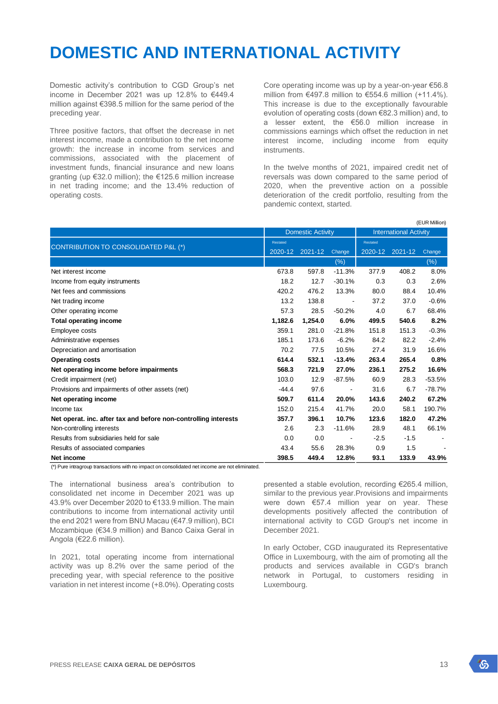## **DOMESTIC AND INTERNATIONAL ACTIVITY**

Domestic activity's contribution to CGD Group's net income in December 2021 was up 12.8% to €449.4 million against €398.5 million for the same period of the preceding year.

Three positive factors, that offset the decrease in net interest income, made a contribution to the net income growth: the increase in income from services and commissions, associated with the placement of investment funds, financial insurance and new loans granting (up €32.0 million); the €125.6 million increase in net trading income; and the 13.4% reduction of operating costs.

Core operating income was up by a year-on-year €56.8 million from €497.8 million to €554.6 million (+11.4%). This increase is due to the exceptionally favourable evolution of operating costs (down €82.3 million) and, to a lesser extent, the €56.0 million increase in commissions earnings which offset the reduction in net interest income, including income from equity instruments.

In the twelve months of 2021, impaired credit net of reversals was down compared to the same period of 2020, when the preventive action on a possible deterioration of the credit portfolio, resulting from the pandemic context, started.

 $(TU)$  in Million)

|                                                                 |         | <b>Domestic Activity</b> |                          | (CUR MIIIIUII)<br><b>International Activity</b> |         |          |  |  |
|-----------------------------------------------------------------|---------|--------------------------|--------------------------|-------------------------------------------------|---------|----------|--|--|
|                                                                 |         |                          |                          | Restated                                        |         |          |  |  |
| CONTRIBUTION TO CONSOLIDATED P&L (*)                            | 2020-12 | 2021-12                  | Change                   | 2020-12                                         | 2021-12 | Change   |  |  |
|                                                                 |         |                          | (%)                      |                                                 |         | $(\%)$   |  |  |
| Net interest income                                             | 673.8   | 597.8                    | $-11.3%$                 | 377.9                                           | 408.2   | 8.0%     |  |  |
| Income from equity instruments                                  | 18.2    | 12.7                     | $-30.1%$                 | 0.3                                             | 0.3     | 2.6%     |  |  |
| Net fees and commissions                                        | 420.2   | 476.2                    | 13.3%                    | 80.0                                            | 88.4    | 10.4%    |  |  |
| Net trading income                                              | 13.2    | 138.8                    | $\overline{\phantom{a}}$ | 37.2                                            | 37.0    | $-0.6%$  |  |  |
| Other operating income                                          | 57.3    | 28.5                     | $-50.2%$                 | 4.0                                             | 6.7     | 68.4%    |  |  |
| <b>Total operating income</b>                                   | 1,182.6 | 1,254.0                  | 6.0%                     | 499.5                                           | 540.6   | 8.2%     |  |  |
| Employee costs                                                  | 359.1   | 281.0                    | $-21.8%$                 | 151.8                                           | 151.3   | $-0.3%$  |  |  |
| Administrative expenses                                         | 185.1   | 173.6                    | $-6.2%$                  | 84.2                                            | 82.2    | $-2.4%$  |  |  |
| Depreciation and amortisation                                   | 70.2    | 77.5                     | 10.5%                    | 27.4                                            | 31.9    | 16.6%    |  |  |
| <b>Operating costs</b>                                          | 614.4   | 532.1                    | $-13.4%$                 | 263.4                                           | 265.4   | 0.8%     |  |  |
| Net operating income before impairments                         | 568.3   | 721.9                    | 27.0%                    | 236.1                                           | 275.2   | 16.6%    |  |  |
| Credit impairment (net)                                         | 103.0   | 12.9                     | $-87.5%$                 | 60.9                                            | 28.3    | $-53.5%$ |  |  |
| Provisions and impairments of other assets (net)                | $-44.4$ | 97.6                     |                          | 31.6                                            | 6.7     | $-78.7%$ |  |  |
| Net operating income                                            | 509.7   | 611.4                    | 20.0%                    | 143.6                                           | 240.2   | 67.2%    |  |  |
| Income tax                                                      | 152.0   | 215.4                    | 41.7%                    | 20.0                                            | 58.1    | 190.7%   |  |  |
| Net operat. inc. after tax and before non-controlling interests | 357.7   | 396.1                    | 10.7%                    | 123.6                                           | 182.0   | 47.2%    |  |  |
| Non-controlling interests                                       | 2.6     | 2.3                      | $-11.6%$                 | 28.9                                            | 48.1    | 66.1%    |  |  |
| Results from subsidiaries held for sale                         | 0.0     | 0.0                      |                          | $-2.5$                                          | $-1.5$  |          |  |  |
| Results of associated companies                                 | 43.4    | 55.6                     | 28.3%                    | 0.9                                             | 1.5     |          |  |  |
| Net income                                                      | 398.5   | 449.4                    | 12.8%                    | 93.1                                            | 133.9   | 43.9%    |  |  |

(\*) Pure intragroup transactions with no impact on consolidated net income are not eliminated.

The international business area's contribution to consolidated net income in December 2021 was up 43.9% over December 2020 to €133.9 million. The main contributions to income from international activity until the end 2021 were from BNU Macau (€47.9 million), BCI Mozambique (€34.9 million) and Banco Caixa Geral in Angola (€22.6 million).

In 2021, total operating income from international activity was up 8.2% over the same period of the preceding year, with special reference to the positive variation in net interest income (+8.0%). Operating costs

presented a stable evolution, recording €265.4 million, similar to the previous year.Provisions and impairments were down €57.4 million year on year. These developments positively affected the contribution of international activity to CGD Group's net income in December 2021.

In early October, CGD inaugurated its Representative Office in Luxembourg, with the aim of promoting all the products and services available in CGD's branch network in Portugal, to customers residing in Luxembourg.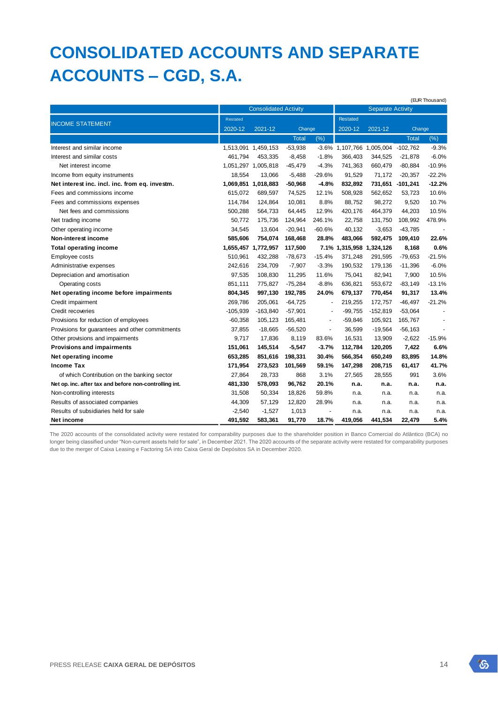## **CONSOLIDATED ACCOUNTS AND SEPARATE ACCOUNTS – CGD, S.A.**

|                                                        |                              |                     |              |                          |                          |                                    |                  | (EUR Thousand) |
|--------------------------------------------------------|------------------------------|---------------------|--------------|--------------------------|--------------------------|------------------------------------|------------------|----------------|
|                                                        | <b>Consolidated Activity</b> |                     |              |                          |                          | <b>Separate Activity</b>           |                  |                |
|                                                        | Restated                     |                     |              |                          | <b>Restated</b>          |                                    |                  |                |
| <b>INCOME STATEMENT</b>                                | 2020-12                      | 2021-12             |              | Change                   |                          | 2021-12                            | Change           |                |
|                                                        |                              |                     | <b>Total</b> | (%)                      |                          |                                    | <b>Total</b>     | (% )           |
| Interest and similar income                            |                              | 1,513,091 1,459,153 | $-53,938$    |                          |                          | -3.6% 1,107,766 1,005,004 -102,762 |                  | $-9.3%$        |
| Interest and similar costs                             | 461,794                      | 453,335             | $-8,458$     | $-1.8%$                  | 366,403                  | 344,525                            | $-21,878$        | $-6.0%$        |
| Net interest income                                    |                              | 1,051,297 1,005,818 | $-45,479$    | $-4.3%$                  | 741,363                  | 660,479                            | $-80,884$        | $-10.9%$       |
| Income from equity instruments                         | 18,554                       | 13,066              | $-5,488$     | $-29.6%$                 | 91,529                   | 71,172                             | $-20,357$        | $-22.2%$       |
| Net interest inc. incl. inc. from eq. investm.         |                              | 1,069,851 1,018,883 | $-50,968$    | $-4.8%$                  | 832,892                  |                                    | 731,651 -101,241 | $-12.2%$       |
| Fees and commissions income                            | 615,072                      | 689,597             | 74,525       | 12.1%                    | 508,928                  | 562,652                            | 53,723           | 10.6%          |
| Fees and commissions expenses                          | 114,784                      | 124,864             | 10,081       | 8.8%                     | 88,752                   | 98,272                             | 9,520            | 10.7%          |
| Net fees and commissions                               | 500,288                      | 564,733             | 64,445       | 12.9%                    | 420,176                  | 464,379                            | 44,203           | 10.5%          |
| Net trading income                                     | 50,772                       | 175,736             | 124,964      | 246.1%                   | 22,758                   | 131,750                            | 108,992          | 478.9%         |
| Other operating income                                 | 34,545                       | 13,604              | $-20,941$    | $-60.6%$                 | 40,132                   | $-3,653$                           | $-43,785$        |                |
| Non-interest income                                    | 585,606                      | 754,074             | 168,468      | 28.8%                    | 483,066                  | 592,475                            | 109,410          | 22.6%          |
| <b>Total operating income</b>                          |                              | 1,655,457 1,772,957 | 117,500      |                          | 7.1% 1,315,958 1,324,126 |                                    | 8,168            | 0.6%           |
| Employee costs                                         | 510,961                      | 432,288             | $-78,673$    | $-15.4%$                 | 371,248                  | 291,595                            | $-79,653$        | $-21.5%$       |
| Administrative expenses                                | 242,616                      | 234,709             | $-7,907$     | $-3.3%$                  | 190,532                  | 179,136                            | $-11,396$        | $-6.0%$        |
| Depreciation and amortisation                          | 97,535                       | 108,830             | 11,295       | 11.6%                    | 75,041                   | 82,941                             | 7,900            | 10.5%          |
| Operating costs                                        | 851,111                      | 775,827             | $-75,284$    | $-8.8%$                  | 636,821                  | 553,672                            | $-83,149$        | $-13.1%$       |
| Net operating income before impairments                | 804,345                      | 997,130             | 192,785      | 24.0%                    | 679,137                  | 770,454                            | 91.317           | 13.4%          |
| Credit impairment                                      | 269,786                      | 205,061             | $-64,725$    | $\blacksquare$           | 219,255                  | 172,757                            | $-46,497$        | $-21.2%$       |
| Credit recoveries                                      | $-105,939$                   | $-163,840$          | $-57,901$    |                          | $-99,755$                | $-152,819$                         | $-53,064$        |                |
| Provisions for reduction of employees                  | $-60,358$                    | 105,123             | 165,481      | $\overline{\phantom{a}}$ | $-59,846$                | 105,921                            | 165,767          |                |
| Provisions for guarantees and other commitments        | 37,855                       | $-18,665$           | $-56,520$    | $\overline{\phantom{a}}$ | 36,599                   | $-19,564$                          | $-56, 163$       |                |
| Other provisions and impairments                       | 9,717                        | 17,836              | 8,119        | 83.6%                    | 16,531                   | 13,909                             | $-2,622$         | $-15.9%$       |
| <b>Provisions and impairments</b>                      | 151,061                      | 145,514             | $-5,547$     | $-3.7%$                  | 112,784                  | 120,205                            | 7,422            | 6.6%           |
| Net operating income                                   | 653,285                      | 851,616             | 198,331      | 30.4%                    | 566,354                  | 650,249                            | 83,895           | 14.8%          |
| Income Tax                                             | 171,954                      | 273,523             | 101,569      | 59.1%                    | 147,298                  | 208,715                            | 61,417           | 41.7%          |
| of which Contribution on the banking sector            | 27,864                       | 28,733              | 868          | 3.1%                     | 27,565                   | 28,555                             | 991              | 3.6%           |
| Net op. inc. after tax and before non-controlling int. | 481,330                      | 578,093             | 96,762       | 20.1%                    | n.a.                     | n.a.                               | n.a.             | n.a.           |
| Non-controlling interests                              | 31,508                       | 50,334              | 18,826       | 59.8%                    | n.a.                     | n.a.                               | n.a.             | n.a.           |
| Results of associated companies                        | 44,309                       | 57,129              | 12,820       | 28.9%                    | n.a.                     | n.a.                               | n.a.             | n.a.           |
| Results of subsidiaries held for sale                  | $-2,540$                     | $-1,527$            | 1,013        |                          | n.a.                     | n.a.                               | n.a.             | n.a.           |
| Net income                                             | 491,592                      | 583,361             | 91,770       | 18.7%                    | 419,056                  | 441,534                            | 22,479           | 5.4%           |

The 2020 accounts of the consolidated activity were restated for comparability purposes due to the shareholder position in Banco Comercial do Atlântico (BCA) no longer being classified under "Non-current assets held for sale", in December 2021. The 2020 accounts of the separate activity were restated for comparability purposes due to the merger of Caixa Leasing e Factoring SA into Caixa Geral de Depósitos SA in December 2020.